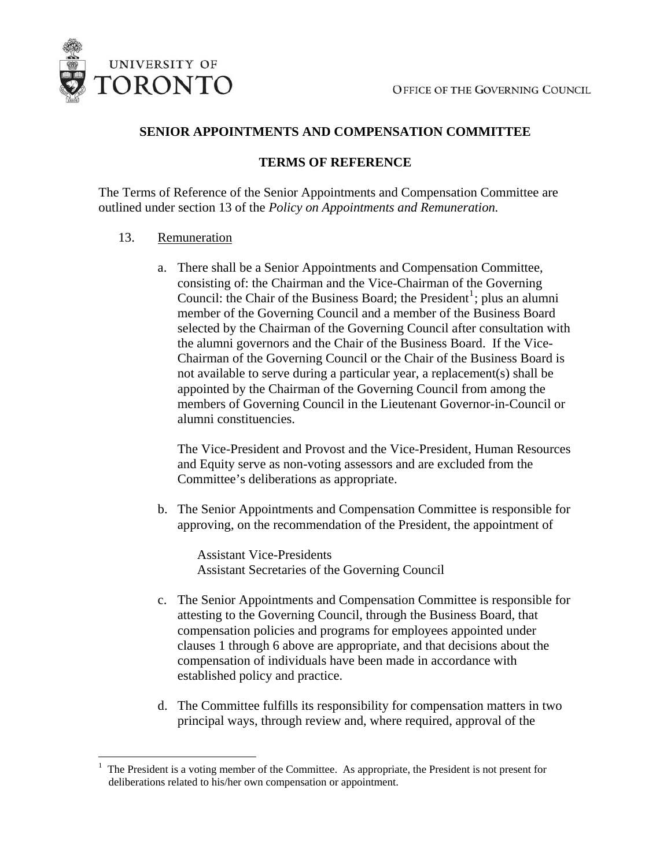

# **SENIOR APPOINTMENTS AND COMPENSATION COMMITTEE**

# **TERMS OF REFERENCE**

The Terms of Reference of the Senior Appointments and Compensation Committee are outlined under section 13 of the *Policy on Appointments and Remuneration.* 

## 13. Remuneration

 $\overline{a}$ 

a. There shall be a Senior Appointments and Compensation Committee, consisting of: the Chairman and the Vice-Chairman of the Governing Council: the Chair of the Business Board; the President<sup>[1](#page-0-0)</sup>; plus an alumni member of the Governing Council and a member of the Business Board selected by the Chairman of the Governing Council after consultation with the alumni governors and the Chair of the Business Board. If the Vice-Chairman of the Governing Council or the Chair of the Business Board is not available to serve during a particular year, a replacement(s) shall be appointed by the Chairman of the Governing Council from among the members of Governing Council in the Lieutenant Governor-in-Council or alumni constituencies.

The Vice-President and Provost and the Vice-President, Human Resources and Equity serve as non-voting assessors and are excluded from the Committee's deliberations as appropriate.

b. The Senior Appointments and Compensation Committee is responsible for approving, on the recommendation of the President, the appointment of

Assistant Vice-Presidents Assistant Secretaries of the Governing Council

- c. The Senior Appointments and Compensation Committee is responsible for attesting to the Governing Council, through the Business Board, that compensation policies and programs for employees appointed under clauses 1 through 6 above are appropriate, and that decisions about the compensation of individuals have been made in accordance with established policy and practice.
- d. The Committee fulfills its responsibility for compensation matters in two principal ways, through review and, where required, approval of the

<span id="page-0-0"></span><sup>1</sup> The President is a voting member of the Committee. As appropriate, the President is not present for deliberations related to his/her own compensation or appointment.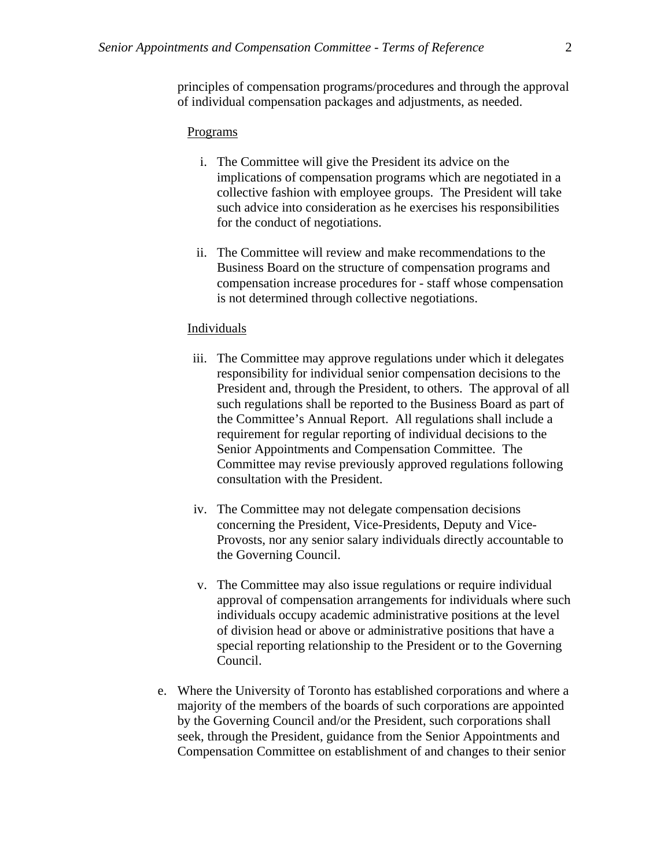principles of compensation programs/procedures and through the approval of individual compensation packages and adjustments, as needed.

### Programs

- i. The Committee will give the President its advice on the implications of compensation programs which are negotiated in a collective fashion with employee groups. The President will take such advice into consideration as he exercises his responsibilities for the conduct of negotiations.
- ii. The Committee will review and make recommendations to the Business Board on the structure of compensation programs and compensation increase procedures for - staff whose compensation is not determined through collective negotiations.

#### Individuals

- iii. The Committee may approve regulations under which it delegates responsibility for individual senior compensation decisions to the President and, through the President, to others. The approval of all such regulations shall be reported to the Business Board as part of the Committee's Annual Report. All regulations shall include a requirement for regular reporting of individual decisions to the Senior Appointments and Compensation Committee. The Committee may revise previously approved regulations following consultation with the President.
- iv. The Committee may not delegate compensation decisions concerning the President, Vice-Presidents, Deputy and Vice-Provosts, nor any senior salary individuals directly accountable to the Governing Council.
- v. The Committee may also issue regulations or require individual approval of compensation arrangements for individuals where such individuals occupy academic administrative positions at the level of division head or above or administrative positions that have a special reporting relationship to the President or to the Governing Council.
- e. Where the University of Toronto has established corporations and where a majority of the members of the boards of such corporations are appointed by the Governing Council and/or the President, such corporations shall seek, through the President, guidance from the Senior Appointments and Compensation Committee on establishment of and changes to their senior